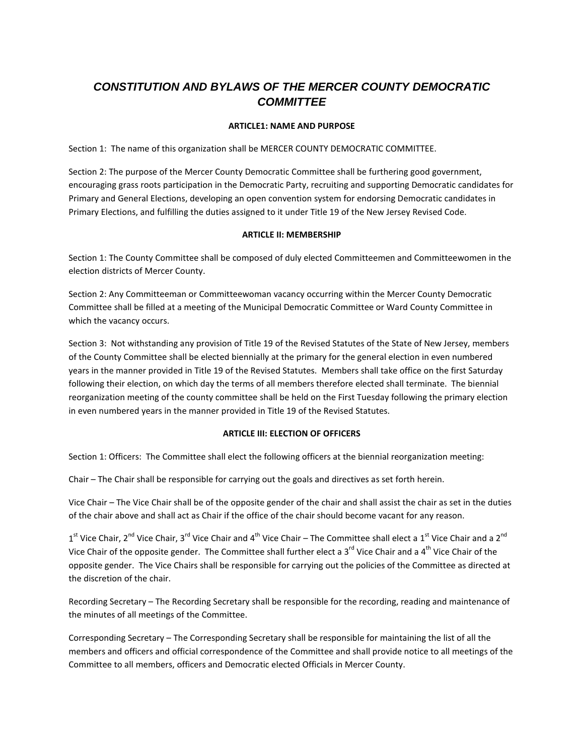# *CONSTITUTION AND BYLAWS OF THE MERCER COUNTY DEMOCRATIC COMMITTEE*

# **ARTICLE1: NAME AND PURPOSE**

Section 1: The name of this organization shall be MERCER COUNTY DEMOCRATIC COMMITTEE.

Section 2: The purpose of the Mercer County Democratic Committee shall be furthering good government, encouraging grass roots participation in the Democratic Party, recruiting and supporting Democratic candidates for Primary and General Elections, developing an open convention system for endorsing Democratic candidates in Primary Elections, and fulfilling the duties assigned to it under Title 19 of the New Jersey Revised Code.

## **ARTICLE II: MEMBERSHIP**

Section 1: The County Committee shall be composed of duly elected Committeemen and Committeewomen in the election districts of Mercer County.

Section 2: Any Committeeman or Committeewoman vacancy occurring within the Mercer County Democratic Committee shall be filled at a meeting of the Municipal Democratic Committee or Ward County Committee in which the vacancy occurs.

Section 3: Not withstanding any provision of Title 19 of the Revised Statutes of the State of New Jersey, members of the County Committee shall be elected biennially at the primary for the general election in even numbered years in the manner provided in Title 19 of the Revised Statutes. Members shall take office on the first Saturday following their election, on which day the terms of all members therefore elected shall terminate. The biennial reorganization meeting of the county committee shall be held on the First Tuesday following the primary election in even numbered years in the manner provided in Title 19 of the Revised Statutes.

# **ARTICLE III: ELECTION OF OFFICERS**

Section 1: Officers: The Committee shall elect the following officers at the biennial reorganization meeting:

Chair – The Chair shall be responsible for carrying out the goals and directives as set forth herein.

Vice Chair – The Vice Chair shall be of the opposite gender of the chair and shall assist the chair as set in the duties of the chair above and shall act as Chair if the office of the chair should become vacant for any reason.

 $1^{\text{st}}$  Vice Chair, 2<sup>nd</sup> Vice Chair, 3<sup>rd</sup> Vice Chair and 4<sup>th</sup> Vice Chair – The Committee shall elect a 1<sup>st</sup> Vice Chair and a 2<sup>nd</sup> Vice Chair of the opposite gender. The Committee shall further elect a  $3^{rd}$  Vice Chair and a 4<sup>th</sup> Vice Chair of the opposite gender. The Vice Chairs shall be responsible for carrying out the policies of the Committee as directed at the discretion of the chair.

Recording Secretary – The Recording Secretary shall be responsible for the recording, reading and maintenance of the minutes of all meetings of the Committee.

Corresponding Secretary – The Corresponding Secretary shall be responsible for maintaining the list of all the members and officers and official correspondence of the Committee and shall provide notice to all meetings of the Committee to all members, officers and Democratic elected Officials in Mercer County.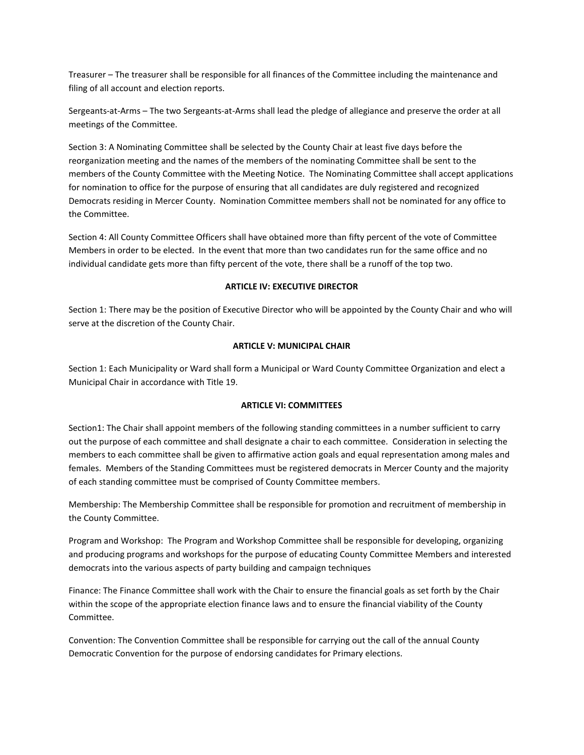Treasurer – The treasurer shall be responsible for all finances of the Committee including the maintenance and filing of all account and election reports.

Sergeants-at-Arms – The two Sergeants-at-Arms shall lead the pledge of allegiance and preserve the order at all meetings of the Committee.

Section 3: A Nominating Committee shall be selected by the County Chair at least five days before the reorganization meeting and the names of the members of the nominating Committee shall be sent to the members of the County Committee with the Meeting Notice. The Nominating Committee shall accept applications for nomination to office for the purpose of ensuring that all candidates are duly registered and recognized Democrats residing in Mercer County. Nomination Committee members shall not be nominated for any office to the Committee.

Section 4: All County Committee Officers shall have obtained more than fifty percent of the vote of Committee Members in order to be elected. In the event that more than two candidates run for the same office and no individual candidate gets more than fifty percent of the vote, there shall be a runoff of the top two.

## **ARTICLE IV: EXECUTIVE DIRECTOR**

Section 1: There may be the position of Executive Director who will be appointed by the County Chair and who will serve at the discretion of the County Chair.

# **ARTICLE V: MUNICIPAL CHAIR**

Section 1: Each Municipality or Ward shall form a Municipal or Ward County Committee Organization and elect a Municipal Chair in accordance with Title 19.

#### **ARTICLE VI: COMMITTEES**

Section1: The Chair shall appoint members of the following standing committees in a number sufficient to carry out the purpose of each committee and shall designate a chair to each committee. Consideration in selecting the members to each committee shall be given to affirmative action goals and equal representation among males and females. Members of the Standing Committees must be registered democrats in Mercer County and the majority of each standing committee must be comprised of County Committee members.

Membership: The Membership Committee shall be responsible for promotion and recruitment of membership in the County Committee.

Program and Workshop: The Program and Workshop Committee shall be responsible for developing, organizing and producing programs and workshops for the purpose of educating County Committee Members and interested democrats into the various aspects of party building and campaign techniques

Finance: The Finance Committee shall work with the Chair to ensure the financial goals as set forth by the Chair within the scope of the appropriate election finance laws and to ensure the financial viability of the County Committee.

Convention: The Convention Committee shall be responsible for carrying out the call of the annual County Democratic Convention for the purpose of endorsing candidates for Primary elections.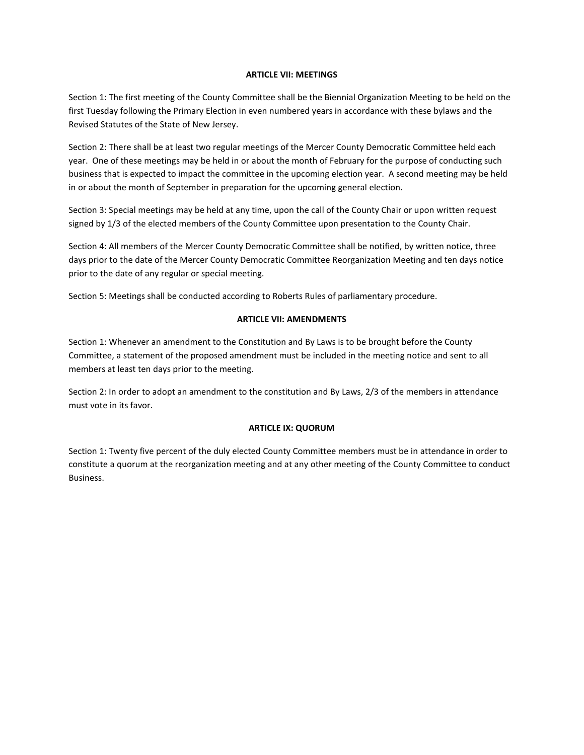## **ARTICLE VII: MEETINGS**

Section 1: The first meeting of the County Committee shall be the Biennial Organization Meeting to be held on the first Tuesday following the Primary Election in even numbered years in accordance with these bylaws and the Revised Statutes of the State of New Jersey.

Section 2: There shall be at least two regular meetings of the Mercer County Democratic Committee held each year. One of these meetings may be held in or about the month of February for the purpose of conducting such business that is expected to impact the committee in the upcoming election year. A second meeting may be held in or about the month of September in preparation for the upcoming general election.

Section 3: Special meetings may be held at any time, upon the call of the County Chair or upon written request signed by 1/3 of the elected members of the County Committee upon presentation to the County Chair.

Section 4: All members of the Mercer County Democratic Committee shall be notified, by written notice, three days prior to the date of the Mercer County Democratic Committee Reorganization Meeting and ten days notice prior to the date of any regular or special meeting.

Section 5: Meetings shall be conducted according to Roberts Rules of parliamentary procedure.

## **ARTICLE VII: AMENDMENTS**

Section 1: Whenever an amendment to the Constitution and By Laws is to be brought before the County Committee, a statement of the proposed amendment must be included in the meeting notice and sent to all members at least ten days prior to the meeting.

Section 2: In order to adopt an amendment to the constitution and By Laws, 2/3 of the members in attendance must vote in its favor.

#### **ARTICLE IX: QUORUM**

Section 1: Twenty five percent of the duly elected County Committee members must be in attendance in order to constitute a quorum at the reorganization meeting and at any other meeting of the County Committee to conduct Business.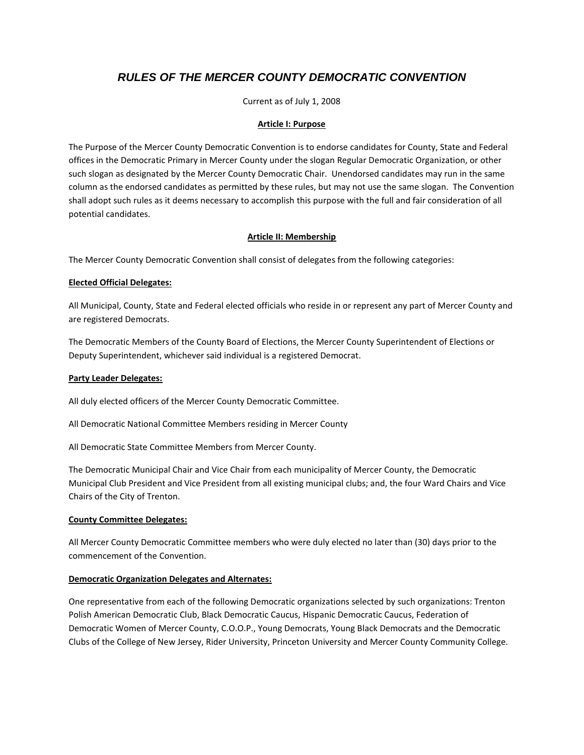# *RULES OF THE MERCER COUNTY DEMOCRATIC CONVENTION*

Current as of July 1, 2008

## **Article I: Purpose**

The Purpose of the Mercer County Democratic Convention is to endorse candidates for County, State and Federal offices in the Democratic Primary in Mercer County under the slogan Regular Democratic Organization, or other such slogan as designated by the Mercer County Democratic Chair. Unendorsed candidates may run in the same column as the endorsed candidates as permitted by these rules, but may not use the same slogan. The Convention shall adopt such rules as it deems necessary to accomplish this purpose with the full and fair consideration of all potential candidates.

# **Article II: Membership**

The Mercer County Democratic Convention shall consist of delegates from the following categories:

## **Elected Official Delegates:**

All Municipal, County, State and Federal elected officials who reside in or represent any part of Mercer County and are registered Democrats.

The Democratic Members of the County Board of Elections, the Mercer County Superintendent of Elections or Deputy Superintendent, whichever said individual is a registered Democrat.

#### **Party Leader Delegates:**

All duly elected officers of the Mercer County Democratic Committee.

All Democratic National Committee Members residing in Mercer County

All Democratic State Committee Members from Mercer County.

The Democratic Municipal Chair and Vice Chair from each municipality of Mercer County, the Democratic Municipal Club President and Vice President from all existing municipal clubs; and, the four Ward Chairs and Vice Chairs of the City of Trenton.

#### **County Committee Delegates:**

All Mercer County Democratic Committee members who were duly elected no later than (30) days prior to the commencement of the Convention.

# **Democratic Organization Delegates and Alternates:**

One representative from each of the following Democratic organizations selected by such organizations: Trenton Polish American Democratic Club, Black Democratic Caucus, Hispanic Democratic Caucus, Federation of Democratic Women of Mercer County, C.O.O.P., Young Democrats, Young Black Democrats and the Democratic Clubs of the College of New Jersey, Rider University, Princeton University and Mercer County Community College.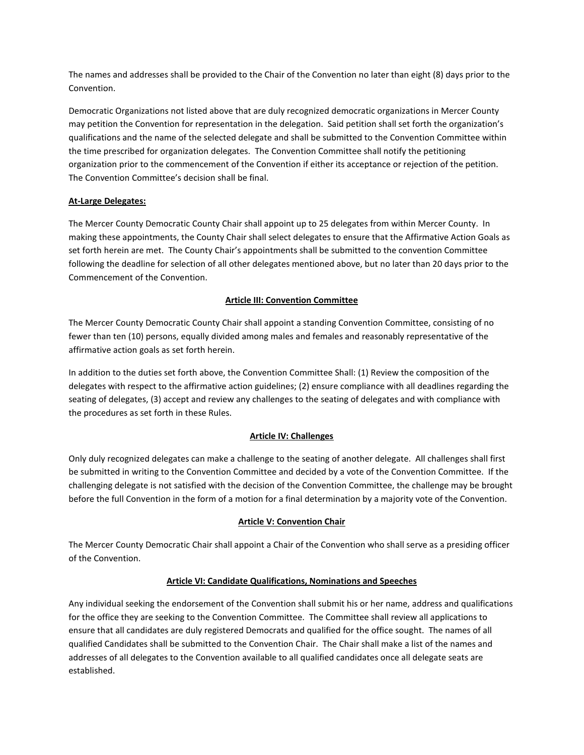The names and addresses shall be provided to the Chair of the Convention no later than eight (8) days prior to the Convention.

Democratic Organizations not listed above that are duly recognized democratic organizations in Mercer County may petition the Convention for representation in the delegation. Said petition shall set forth the organization's qualifications and the name of the selected delegate and shall be submitted to the Convention Committee within the time prescribed for organization delegates. The Convention Committee shall notify the petitioning organization prior to the commencement of the Convention if either its acceptance or rejection of the petition. The Convention Committee's decision shall be final.

# **At-Large Delegates:**

The Mercer County Democratic County Chair shall appoint up to 25 delegates from within Mercer County. In making these appointments, the County Chair shall select delegates to ensure that the Affirmative Action Goals as set forth herein are met. The County Chair's appointments shall be submitted to the convention Committee following the deadline for selection of all other delegates mentioned above, but no later than 20 days prior to the Commencement of the Convention.

# **Article III: Convention Committee**

The Mercer County Democratic County Chair shall appoint a standing Convention Committee, consisting of no fewer than ten (10) persons, equally divided among males and females and reasonably representative of the affirmative action goals as set forth herein.

In addition to the duties set forth above, the Convention Committee Shall: (1) Review the composition of the delegates with respect to the affirmative action guidelines; (2) ensure compliance with all deadlines regarding the seating of delegates, (3) accept and review any challenges to the seating of delegates and with compliance with the procedures as set forth in these Rules.

# **Article IV: Challenges**

Only duly recognized delegates can make a challenge to the seating of another delegate. All challenges shall first be submitted in writing to the Convention Committee and decided by a vote of the Convention Committee. If the challenging delegate is not satisfied with the decision of the Convention Committee, the challenge may be brought before the full Convention in the form of a motion for a final determination by a majority vote of the Convention.

# **Article V: Convention Chair**

The Mercer County Democratic Chair shall appoint a Chair of the Convention who shall serve as a presiding officer of the Convention.

# **Article VI: Candidate Qualifications, Nominations and Speeches**

Any individual seeking the endorsement of the Convention shall submit his or her name, address and qualifications for the office they are seeking to the Convention Committee. The Committee shall review all applications to ensure that all candidates are duly registered Democrats and qualified for the office sought. The names of all qualified Candidates shall be submitted to the Convention Chair. The Chair shall make a list of the names and addresses of all delegates to the Convention available to all qualified candidates once all delegate seats are established.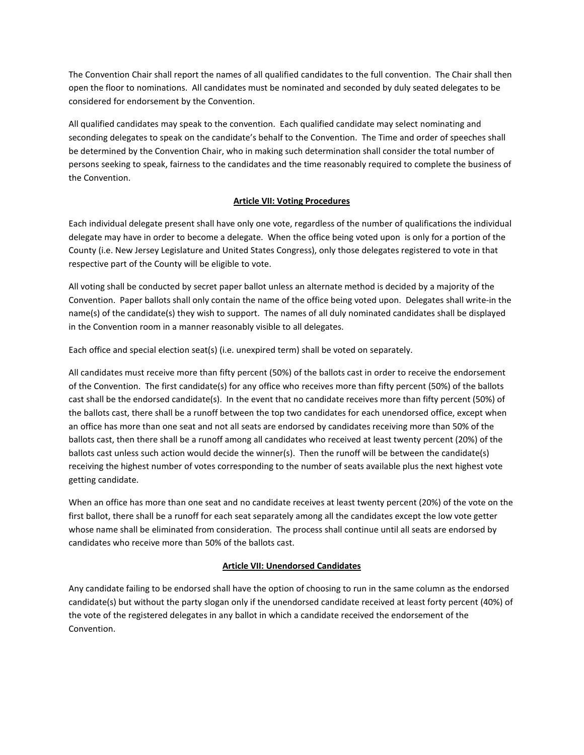The Convention Chair shall report the names of all qualified candidates to the full convention. The Chair shall then open the floor to nominations. All candidates must be nominated and seconded by duly seated delegates to be considered for endorsement by the Convention.

All qualified candidates may speak to the convention. Each qualified candidate may select nominating and seconding delegates to speak on the candidate's behalf to the Convention. The Time and order of speeches shall be determined by the Convention Chair, who in making such determination shall consider the total number of persons seeking to speak, fairness to the candidates and the time reasonably required to complete the business of the Convention.

# **Article VII: Voting Procedures**

Each individual delegate present shall have only one vote, regardless of the number of qualifications the individual delegate may have in order to become a delegate. When the office being voted upon is only for a portion of the County (i.e. New Jersey Legislature and United States Congress), only those delegates registered to vote in that respective part of the County will be eligible to vote.

All voting shall be conducted by secret paper ballot unless an alternate method is decided by a majority of the Convention. Paper ballots shall only contain the name of the office being voted upon. Delegates shall write-in the name(s) of the candidate(s) they wish to support. The names of all duly nominated candidates shall be displayed in the Convention room in a manner reasonably visible to all delegates.

Each office and special election seat(s) (i.e. unexpired term) shall be voted on separately.

All candidates must receive more than fifty percent (50%) of the ballots cast in order to receive the endorsement of the Convention. The first candidate(s) for any office who receives more than fifty percent (50%) of the ballots cast shall be the endorsed candidate(s). In the event that no candidate receives more than fifty percent (50%) of the ballots cast, there shall be a runoff between the top two candidates for each unendorsed office, except when an office has more than one seat and not all seats are endorsed by candidates receiving more than 50% of the ballots cast, then there shall be a runoff among all candidates who received at least twenty percent (20%) of the ballots cast unless such action would decide the winner(s). Then the runoff will be between the candidate(s) receiving the highest number of votes corresponding to the number of seats available plus the next highest vote getting candidate.

When an office has more than one seat and no candidate receives at least twenty percent (20%) of the vote on the first ballot, there shall be a runoff for each seat separately among all the candidates except the low vote getter whose name shall be eliminated from consideration. The process shall continue until all seats are endorsed by candidates who receive more than 50% of the ballots cast.

#### **Article VII: Unendorsed Candidates**

Any candidate failing to be endorsed shall have the option of choosing to run in the same column as the endorsed candidate(s) but without the party slogan only if the unendorsed candidate received at least forty percent (40%) of the vote of the registered delegates in any ballot in which a candidate received the endorsement of the Convention.